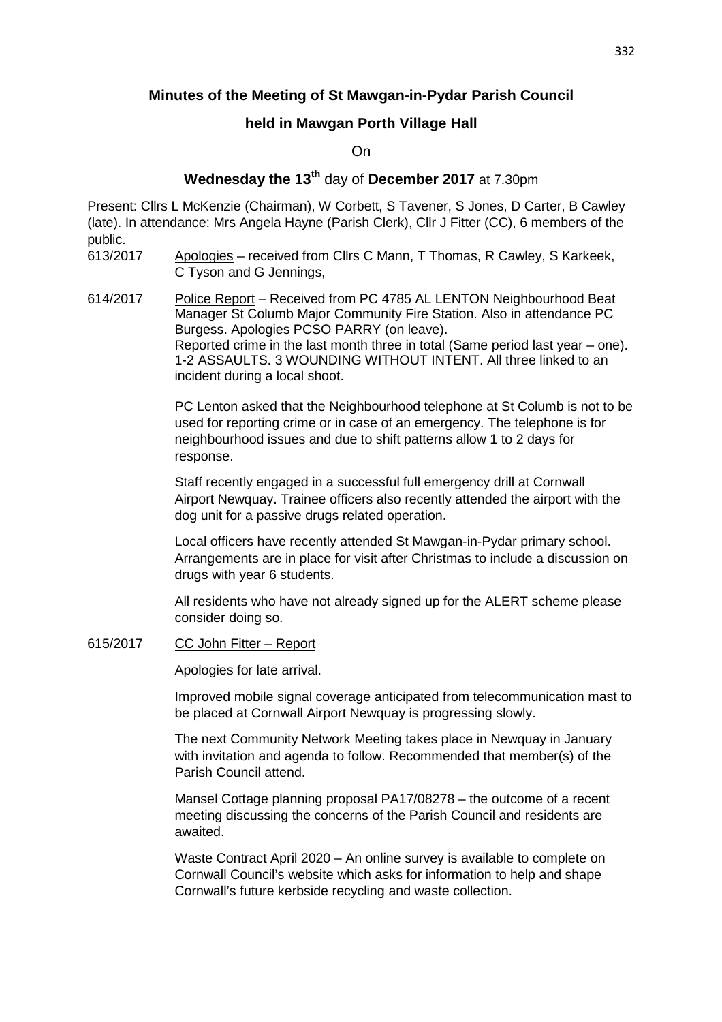# **Minutes of the Meeting of St Mawgan-in-Pydar Parish Council**

# **held in Mawgan Porth Village Hall**

On

# **Wednesday the 13th** day of **December 2017** at 7.30pm

Present: Cllrs L McKenzie (Chairman), W Corbett, S Tavener, S Jones, D Carter, B Cawley (late). In attendance: Mrs Angela Hayne (Parish Clerk), Cllr J Fitter (CC), 6 members of the public.

- 613/2017 Apologies received from Cllrs C Mann, T Thomas, R Cawley, S Karkeek, C Tyson and G Jennings,
- 614/2017 Police Report Received from PC 4785 AL LENTON Neighbourhood Beat Manager St Columb Major Community Fire Station. Also in attendance PC Burgess. Apologies PCSO PARRY (on leave). Reported crime in the last month three in total (Same period last year – one). 1-2 ASSAULTS. 3 WOUNDING WITHOUT INTENT. All three linked to an incident during a local shoot.

 PC Lenton asked that the Neighbourhood telephone at St Columb is not to be used for reporting crime or in case of an emergency. The telephone is for neighbourhood issues and due to shift patterns allow 1 to 2 days for response.

 Staff recently engaged in a successful full emergency drill at Cornwall Airport Newquay. Trainee officers also recently attended the airport with the dog unit for a passive drugs related operation.

 Local officers have recently attended St Mawgan-in-Pydar primary school. Arrangements are in place for visit after Christmas to include a discussion on drugs with year 6 students.

 All residents who have not already signed up for the ALERT scheme please consider doing so.

### 615/2017 CC John Fitter – Report

Apologies for late arrival.

 Improved mobile signal coverage anticipated from telecommunication mast to be placed at Cornwall Airport Newquay is progressing slowly.

 The next Community Network Meeting takes place in Newquay in January with invitation and agenda to follow. Recommended that member(s) of the Parish Council attend.

 Mansel Cottage planning proposal PA17/08278 – the outcome of a recent meeting discussing the concerns of the Parish Council and residents are awaited.

 Waste Contract April 2020 – An online survey is available to complete on Cornwall Council's website which asks for information to help and shape Cornwall's future kerbside recycling and waste collection.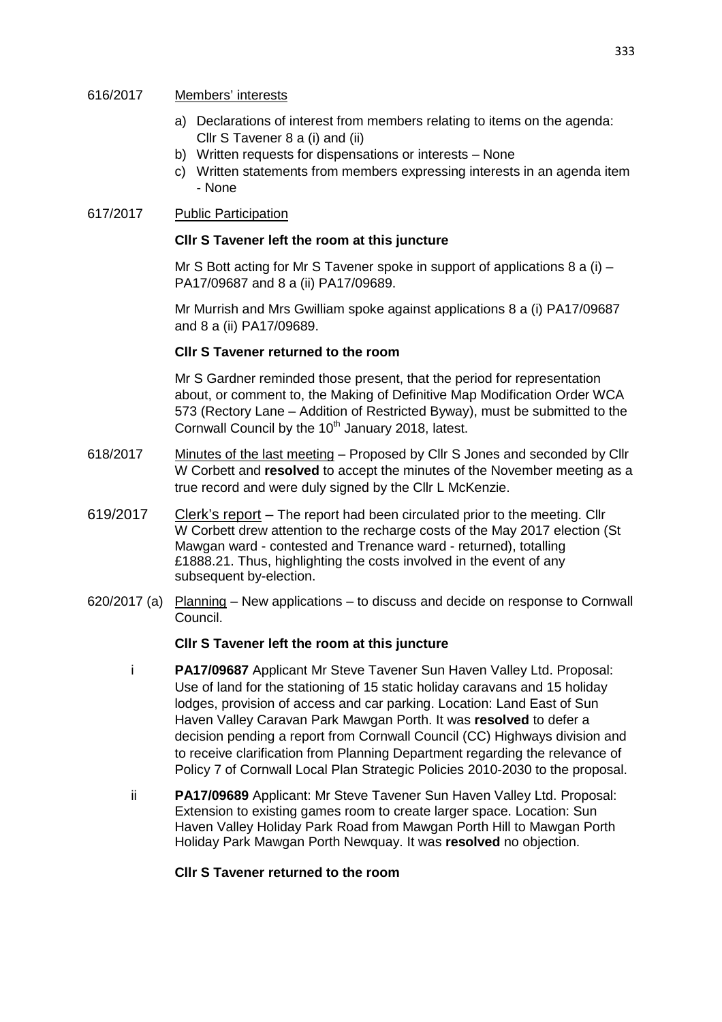#### 616/2017 Members' interests

- a) Declarations of interest from members relating to items on the agenda: Cllr S Tavener 8 a (i) and (ii)
- b) Written requests for dispensations or interests None
- c) Written statements from members expressing interests in an agenda item - None

## 617/2017 Public Participation

### **Cllr S Tavener left the room at this juncture**

Mr S Bott acting for Mr S Tavener spoke in support of applications 8 a (i)  $-$ PA17/09687 and 8 a (ii) PA17/09689.

 Mr Murrish and Mrs Gwilliam spoke against applications 8 a (i) PA17/09687 and 8 a (ii) PA17/09689.

### **Cllr S Tavener returned to the room**

Mr S Gardner reminded those present, that the period for representation about, or comment to, the Making of Definitive Map Modification Order WCA 573 (Rectory Lane – Addition of Restricted Byway), must be submitted to the Cornwall Council by the  $10<sup>th</sup>$  January 2018, latest.

- 618/2017 Minutes of the last meeting Proposed by Cllr S Jones and seconded by Cllr W Corbett and **resolved** to accept the minutes of the November meeting as a true record and were duly signed by the Cllr L McKenzie.
- 619/2017 Clerk's report The report had been circulated prior to the meeting. Cllr W Corbett drew attention to the recharge costs of the May 2017 election (St Mawgan ward - contested and Trenance ward - returned), totalling £1888.21. Thus, highlighting the costs involved in the event of any subsequent by-election.
- 620/2017 (a) Planning New applications to discuss and decide on response to Cornwall Council.

### **Cllr S Tavener left the room at this juncture**

- i **PA17/09687** Applicant Mr Steve Tavener Sun Haven Valley Ltd. Proposal: Use of land for the stationing of 15 static holiday caravans and 15 holiday lodges, provision of access and car parking. Location: Land East of Sun Haven Valley Caravan Park Mawgan Porth. It was **resolved** to defer a decision pending a report from Cornwall Council (CC) Highways division and to receive clarification from Planning Department regarding the relevance of Policy 7 of Cornwall Local Plan Strategic Policies 2010-2030 to the proposal.
- ii **PA17/09689** Applicant: Mr Steve Tavener Sun Haven Valley Ltd. Proposal: Extension to existing games room to create larger space. Location: Sun Haven Valley Holiday Park Road from Mawgan Porth Hill to Mawgan Porth Holiday Park Mawgan Porth Newquay. It was **resolved** no objection.

#### **Cllr S Tavener returned to the room**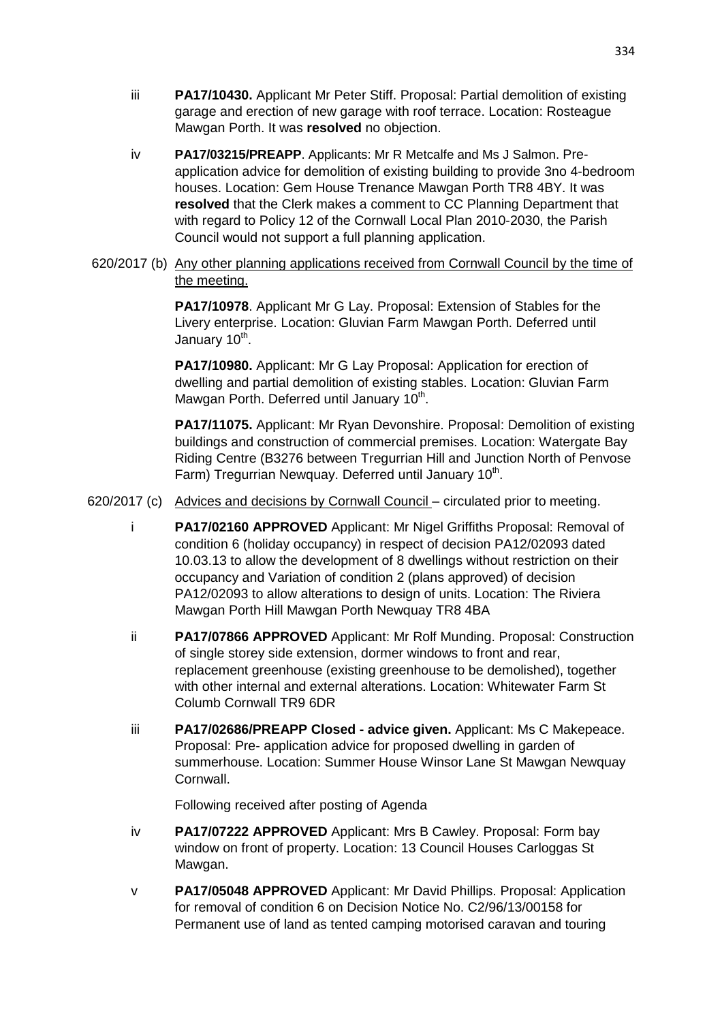- iii **PA17/10430.** Applicant Mr Peter Stiff. Proposal: Partial demolition of existing garage and erection of new garage with roof terrace. Location: Rosteague Mawgan Porth. It was **resolved** no objection.
- iv **PA17/03215/PREAPP**. Applicants: Mr R Metcalfe and Ms J Salmon. Preapplication advice for demolition of existing building to provide 3no 4-bedroom houses. Location: Gem House Trenance Mawgan Porth TR8 4BY. It was **resolved** that the Clerk makes a comment to CC Planning Department that with regard to Policy 12 of the Cornwall Local Plan 2010-2030, the Parish Council would not support a full planning application.
- 620/2017 (b) Any other planning applications received from Cornwall Council by the time of the meeting.

**PA17/10978**. Applicant Mr G Lay. Proposal: Extension of Stables for the Livery enterprise. Location: Gluvian Farm Mawgan Porth. Deferred until January 10<sup>th</sup>.

 **PA17/10980.** Applicant: Mr G Lay Proposal: Application for erection of dwelling and partial demolition of existing stables. Location: Gluvian Farm Mawgan Porth. Deferred until January 10<sup>th</sup>.

> **PA17/11075.** Applicant: Mr Ryan Devonshire. Proposal: Demolition of existing buildings and construction of commercial premises. Location: Watergate Bay Riding Centre (B3276 between Tregurrian Hill and Junction North of Penvose Farm) Tregurrian Newquay. Deferred until January 10<sup>th</sup>.

620/2017 (c) Advices and decisions by Cornwall Council – circulated prior to meeting.

- i **PA17/02160 APPROVED** Applicant: Mr Nigel Griffiths Proposal: Removal of condition 6 (holiday occupancy) in respect of decision PA12/02093 dated 10.03.13 to allow the development of 8 dwellings without restriction on their occupancy and Variation of condition 2 (plans approved) of decision PA12/02093 to allow alterations to design of units. Location: The Riviera Mawgan Porth Hill Mawgan Porth Newquay TR8 4BA
- ii **PA17/07866 APPROVED** Applicant: Mr Rolf Munding. Proposal: Construction of single storey side extension, dormer windows to front and rear, replacement greenhouse (existing greenhouse to be demolished), together with other internal and external alterations. Location: Whitewater Farm St Columb Cornwall TR9 6DR
- iii **PA17/02686/PREAPP Closed advice given.** Applicant: Ms C Makepeace. Proposal: Pre- application advice for proposed dwelling in garden of summerhouse. Location: Summer House Winsor Lane St Mawgan Newquay **Cornwall**

Following received after posting of Agenda

- iv **PA17/07222 APPROVED** Applicant: Mrs B Cawley. Proposal: Form bay window on front of property. Location: 13 Council Houses Carloggas St Mawgan.
- v **PA17/05048 APPROVED** Applicant: Mr David Phillips. Proposal: Application for removal of condition 6 on Decision Notice No. C2/96/13/00158 for Permanent use of land as tented camping motorised caravan and touring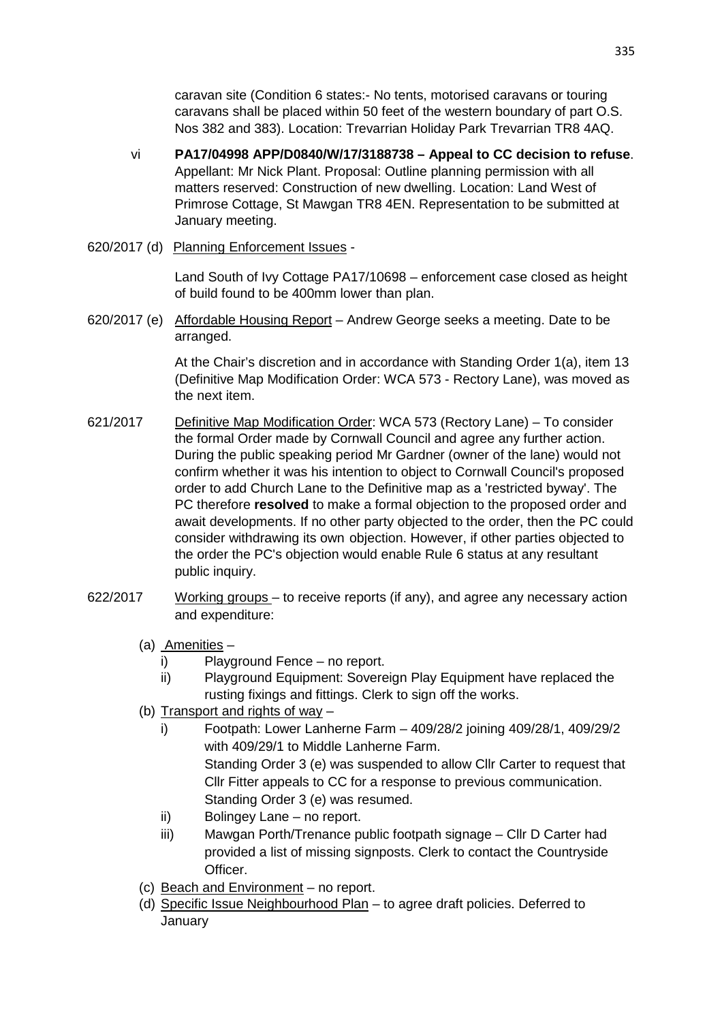caravan site (Condition 6 states:- No tents, motorised caravans or touring caravans shall be placed within 50 feet of the western boundary of part O.S. Nos 382 and 383). Location: Trevarrian Holiday Park Trevarrian TR8 4AQ.

- vi **PA17/04998 APP/D0840/W/17/3188738 Appeal to CC decision to refuse**. Appellant: Mr Nick Plant. Proposal: Outline planning permission with all matters reserved: Construction of new dwelling. Location: Land West of Primrose Cottage, St Mawgan TR8 4EN. Representation to be submitted at January meeting.
- 620/2017 (d) Planning Enforcement Issues -

 Land South of Ivy Cottage PA17/10698 – enforcement case closed as height of build found to be 400mm lower than plan.

620/2017 (e) Affordable Housing Report – Andrew George seeks a meeting. Date to be arranged.

> At the Chair's discretion and in accordance with Standing Order 1(a), item 13 (Definitive Map Modification Order: WCA 573 - Rectory Lane), was moved as the next item.

- 621/2017 Definitive Map Modification Order: WCA 573 (Rectory Lane) To consider the formal Order made by Cornwall Council and agree any further action. During the public speaking period Mr Gardner (owner of the lane) would not confirm whether it was his intention to object to Cornwall Council's proposed order to add Church Lane to the Definitive map as a 'restricted byway'. The PC therefore **resolved** to make a formal objection to the proposed order and await developments. If no other party objected to the order, then the PC could consider withdrawing its own objection. However, if other parties objected to the order the PC's objection would enable Rule 6 status at any resultant public inquiry.
- 622/2017 Working groups to receive reports (if any), and agree any necessary action and expenditure:
	- (a) **Amenities**
		- i) Playground Fence no report.
		- ii) Playground Equipment: Sovereign Play Equipment have replaced the rusting fixings and fittings. Clerk to sign off the works.
	- (b) Transport and rights of way
		- i) Footpath: Lower Lanherne Farm 409/28/2 joining 409/28/1, 409/29/2 with 409/29/1 to Middle Lanherne Farm.

Standing Order 3 (e) was suspended to allow Cllr Carter to request that Cllr Fitter appeals to CC for a response to previous communication. Standing Order 3 (e) was resumed.

- ii) Bolingey Lane no report.
- iii) Mawgan Porth/Trenance public footpath signage Cllr D Carter had provided a list of missing signposts. Clerk to contact the Countryside Officer.
- (c) Beach and Environment no report.
- (d) Specific Issue Neighbourhood Plan to agree draft policies. Deferred to **January**